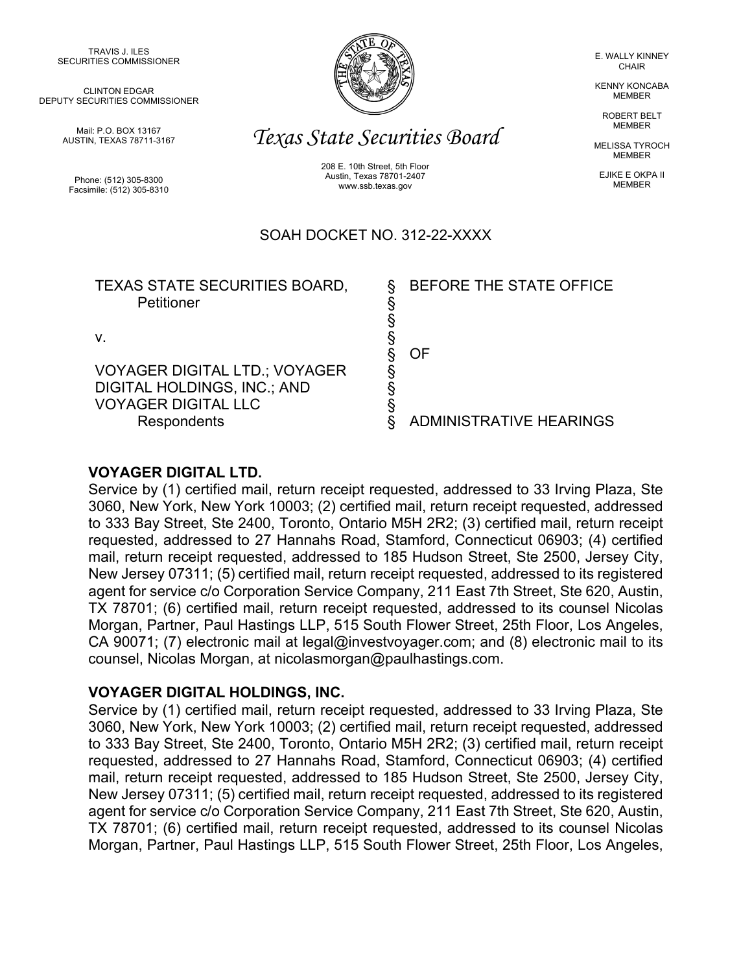TRAVIS J. ILES SECURITIES COMMISSIONER

CLINTON EDGAR DEPUTY SECURITIES COMMISSIONER

> Mail: P.O. BOX 13167 AUSTIN, TEXAS 78711-3167

Phone: (512) 305-8300 Facsimile: (512) 305-8310



E. WALLY KINNEY **CHAIR** 

KENNY KONCABA MEMBER

> ROBERT BELT MEMBER

MELISSA TYROCH MEMBER

EJIKE E OKPA II MEMBER

# *Texas State Securities Board*

208 E. 10th Street, 5th Floor Austin, Texas 78701-2407 www.ssb.texas.gov

# SOAH DOCKET NO. 312-22-XXXX

| <b>TEXAS STATE SECURITIES BOARD,</b><br>Petitioner                  | BEFORE THE STATE OFFICE        |
|---------------------------------------------------------------------|--------------------------------|
|                                                                     | ΩF                             |
| <b>VOYAGER DIGITAL LTD.; VOYAGER</b><br>DIGITAL HOLDINGS, INC.; AND |                                |
| <b>VOYAGER DIGITAL LLC</b><br><b>Respondents</b>                    | <b>ADMINISTRATIVE HEARINGS</b> |

## **VOYAGER DIGITAL LTD.**

Service by (1) certified mail, return receipt requested, addressed to 33 Irving Plaza, Ste 3060, New York, New York 10003; (2) certified mail, return receipt requested, addressed to 333 Bay Street, Ste 2400, Toronto, Ontario M5H 2R2; (3) certified mail, return receipt requested, addressed to 27 Hannahs Road, Stamford, Connecticut 06903; (4) certified mail, return receipt requested, addressed to 185 Hudson Street, Ste 2500, Jersey City, New Jersey 07311; (5) certified mail, return receipt requested, addressed to its registered agent for service c/o Corporation Service Company, 211 East 7th Street, Ste 620, Austin, TX 78701; (6) certified mail, return receipt requested, addressed to its counsel Nicolas Morgan, Partner, Paul Hastings LLP, 515 South Flower Street, 25th Floor, Los Angeles, CA 90071; (7) electronic mail at legal@investvoyager.com; and (8) electronic mail to its counsel, Nicolas Morgan, at nicolasmorgan@paulhastings.com.

#### **VOYAGER DIGITAL HOLDINGS, INC.**

Service by (1) certified mail, return receipt requested, addressed to 33 Irving Plaza, Ste 3060, New York, New York 10003; (2) certified mail, return receipt requested, addressed to 333 Bay Street, Ste 2400, Toronto, Ontario M5H 2R2; (3) certified mail, return receipt requested, addressed to 27 Hannahs Road, Stamford, Connecticut 06903; (4) certified mail, return receipt requested, addressed to 185 Hudson Street, Ste 2500, Jersey City, New Jersey 07311; (5) certified mail, return receipt requested, addressed to its registered agent for service c/o Corporation Service Company, 211 East 7th Street, Ste 620, Austin, TX 78701; (6) certified mail, return receipt requested, addressed to its counsel Nicolas Morgan, Partner, Paul Hastings LLP, 515 South Flower Street, 25th Floor, Los Angeles,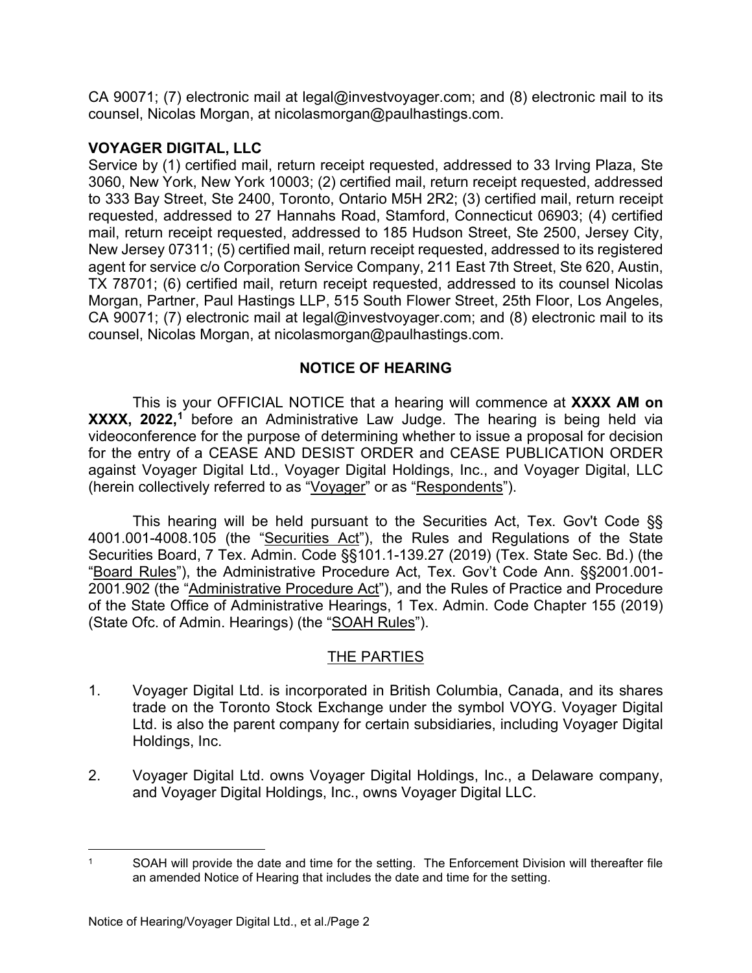CA 90071; (7) electronic mail at legal@investvoyager.com; and (8) electronic mail to its counsel, Nicolas Morgan, at nicolasmorgan@paulhastings.com.

## **VOYAGER DIGITAL, LLC**

Service by (1) certified mail, return receipt requested, addressed to 33 Irving Plaza, Ste 3060, New York, New York 10003; (2) certified mail, return receipt requested, addressed to 333 Bay Street, Ste 2400, Toronto, Ontario M5H 2R2; (3) certified mail, return receipt requested, addressed to 27 Hannahs Road, Stamford, Connecticut 06903; (4) certified mail, return receipt requested, addressed to 185 Hudson Street, Ste 2500, Jersey City, New Jersey 07311; (5) certified mail, return receipt requested, addressed to its registered agent for service c/o Corporation Service Company, 211 East 7th Street, Ste 620, Austin, TX 78701; (6) certified mail, return receipt requested, addressed to its counsel Nicolas Morgan, Partner, Paul Hastings LLP, 515 South Flower Street, 25th Floor, Los Angeles, CA 90071; (7) electronic mail at legal@investvoyager.com; and (8) electronic mail to its counsel, Nicolas Morgan, at nicolasmorgan@paulhastings.com.

## **NOTICE OF HEARING**

This is your OFFICIAL NOTICE that a hearing will commence at **XXXX AM on XXXX, 2022, [1](#page-1-0)** before an Administrative Law Judge. The hearing is being held via videoconference for the purpose of determining whether to issue a proposal for decision for the entry of a CEASE AND DESIST ORDER and CEASE PUBLICATION ORDER against Voyager Digital Ltd., Voyager Digital Holdings, Inc., and Voyager Digital, LLC (herein collectively referred to as "Voyager" or as "Respondents").

This hearing will be held pursuant to the Securities Act, Tex. Gov't Code §§ 4001.001-4008.105 (the "Securities Act"), the Rules and Regulations of the State Securities Board, 7 Tex. Admin. Code §§101.1-139.27 (2019) (Tex. State Sec. Bd.) (the "Board Rules"), the Administrative Procedure Act, Tex. Gov't Code Ann. §§2001.001- 2001.902 (the "Administrative Procedure Act"), and the Rules of Practice and Procedure of the State Office of Administrative Hearings, 1 Tex. Admin. Code Chapter 155 (2019) (State Ofc. of Admin. Hearings) (the "SOAH Rules").

# THE PARTIES

- 1. Voyager Digital Ltd. is incorporated in British Columbia, Canada, and its shares trade on the Toronto Stock Exchange under the symbol VOYG. Voyager Digital Ltd. is also the parent company for certain subsidiaries, including Voyager Digital Holdings, Inc.
- 2. Voyager Digital Ltd. owns Voyager Digital Holdings, Inc., a Delaware company, and Voyager Digital Holdings, Inc., owns Voyager Digital LLC.

<span id="page-1-0"></span><sup>&</sup>lt;sup>1</sup> SOAH will provide the date and time for the setting. The Enforcement Division will thereafter file an amended Notice of Hearing that includes the date and time for the setting.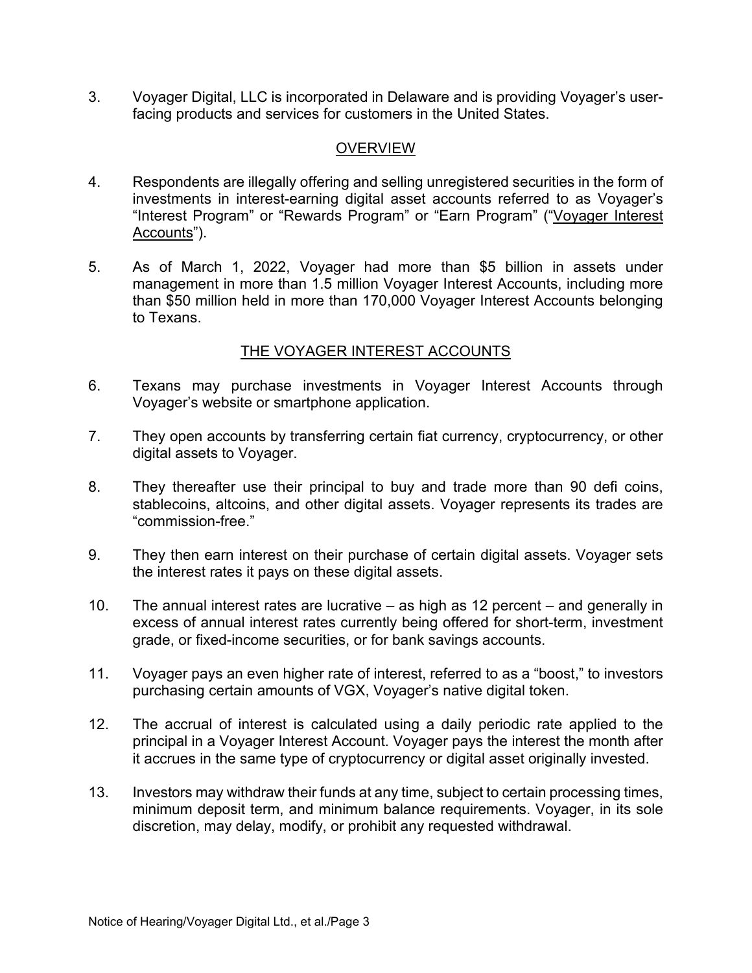3. Voyager Digital, LLC is incorporated in Delaware and is providing Voyager's userfacing products and services for customers in the United States.

# **OVERVIEW**

- 4. Respondents are illegally offering and selling unregistered securities in the form of investments in interest-earning digital asset accounts referred to as Voyager's "Interest Program" or "Rewards Program" or "Earn Program" ("Voyager Interest Accounts").
- 5. As of March 1, 2022, Voyager had more than \$5 billion in assets under management in more than 1.5 million Voyager Interest Accounts, including more than \$50 million held in more than 170,000 Voyager Interest Accounts belonging to Texans.

#### THE VOYAGER INTEREST ACCOUNTS

- 6. Texans may purchase investments in Voyager Interest Accounts through Voyager's website or smartphone application.
- 7. They open accounts by transferring certain fiat currency, cryptocurrency, or other digital assets to Voyager.
- 8. They thereafter use their principal to buy and trade more than 90 defi coins, stablecoins, altcoins, and other digital assets. Voyager represents its trades are "commission-free."
- 9. They then earn interest on their purchase of certain digital assets. Voyager sets the interest rates it pays on these digital assets.
- 10. The annual interest rates are lucrative as high as 12 percent and generally in excess of annual interest rates currently being offered for short-term, investment grade, or fixed-income securities, or for bank savings accounts.
- 11. Voyager pays an even higher rate of interest, referred to as a "boost," to investors purchasing certain amounts of VGX, Voyager's native digital token.
- 12. The accrual of interest is calculated using a daily periodic rate applied to the principal in a Voyager Interest Account. Voyager pays the interest the month after it accrues in the same type of cryptocurrency or digital asset originally invested.
- 13. Investors may withdraw their funds at any time, subject to certain processing times, minimum deposit term, and minimum balance requirements. Voyager, in its sole discretion, may delay, modify, or prohibit any requested withdrawal.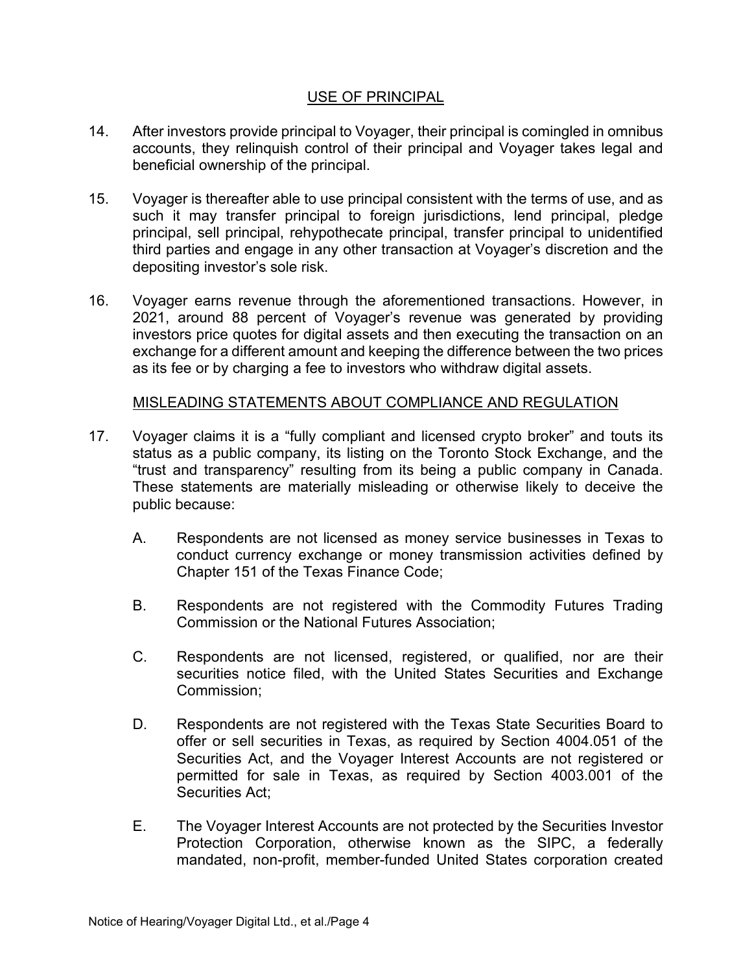#### USE OF PRINCIPAL

- 14. After investors provide principal to Voyager, their principal is comingled in omnibus accounts, they relinquish control of their principal and Voyager takes legal and beneficial ownership of the principal.
- 15. Voyager is thereafter able to use principal consistent with the terms of use, and as such it may transfer principal to foreign jurisdictions, lend principal, pledge principal, sell principal, rehypothecate principal, transfer principal to unidentified third parties and engage in any other transaction at Voyager's discretion and the depositing investor's sole risk.
- 16. Voyager earns revenue through the aforementioned transactions. However, in 2021, around 88 percent of Voyager's revenue was generated by providing investors price quotes for digital assets and then executing the transaction on an exchange for a different amount and keeping the difference between the two prices as its fee or by charging a fee to investors who withdraw digital assets.

## MISLEADING STATEMENTS ABOUT COMPLIANCE AND REGULATION

- 17. Voyager claims it is a "fully compliant and licensed crypto broker" and touts its status as a public company, its listing on the Toronto Stock Exchange, and the "trust and transparency" resulting from its being a public company in Canada. These statements are materially misleading or otherwise likely to deceive the public because:
	- A. Respondents are not licensed as money service businesses in Texas to conduct currency exchange or money transmission activities defined by Chapter 151 of the Texas Finance Code;
	- B. Respondents are not registered with the Commodity Futures Trading Commission or the National Futures Association;
	- C. Respondents are not licensed, registered, or qualified, nor are their securities notice filed, with the United States Securities and Exchange Commission;
	- D. Respondents are not registered with the Texas State Securities Board to offer or sell securities in Texas, as required by Section 4004.051 of the Securities Act, and the Voyager Interest Accounts are not registered or permitted for sale in Texas, as required by Section 4003.001 of the Securities Act;
	- E. The Voyager Interest Accounts are not protected by the Securities Investor Protection Corporation, otherwise known as the SIPC, a federally mandated, non-profit, member-funded United States corporation created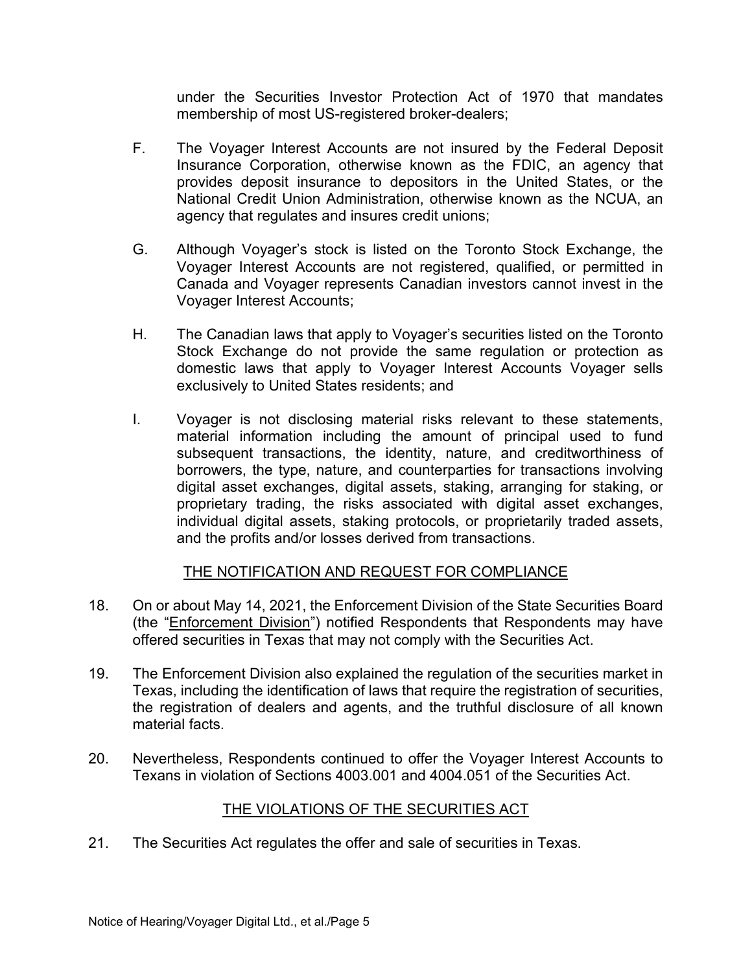under the Securities Investor Protection Act of 1970 that mandates membership of most US-registered broker-dealers;

- F. The Voyager Interest Accounts are not insured by the Federal Deposit Insurance Corporation, otherwise known as the FDIC, an agency that provides deposit insurance to depositors in the United States, or the National Credit Union Administration, otherwise known as the NCUA, an agency that regulates and insures credit unions;
- G. Although Voyager's stock is listed on the Toronto Stock Exchange, the Voyager Interest Accounts are not registered, qualified, or permitted in Canada and Voyager represents Canadian investors cannot invest in the Voyager Interest Accounts;
- H. The Canadian laws that apply to Voyager's securities listed on the Toronto Stock Exchange do not provide the same regulation or protection as domestic laws that apply to Voyager Interest Accounts Voyager sells exclusively to United States residents; and
- I. Voyager is not disclosing material risks relevant to these statements, material information including the amount of principal used to fund subsequent transactions, the identity, nature, and creditworthiness of borrowers, the type, nature, and counterparties for transactions involving digital asset exchanges, digital assets, staking, arranging for staking, or proprietary trading, the risks associated with digital asset exchanges, individual digital assets, staking protocols, or proprietarily traded assets, and the profits and/or losses derived from transactions.

#### THE NOTIFICATION AND REQUEST FOR COMPLIANCE

- 18. On or about May 14, 2021, the Enforcement Division of the State Securities Board (the "Enforcement Division") notified Respondents that Respondents may have offered securities in Texas that may not comply with the Securities Act.
- 19. The Enforcement Division also explained the regulation of the securities market in Texas, including the identification of laws that require the registration of securities, the registration of dealers and agents, and the truthful disclosure of all known material facts.
- 20. Nevertheless, Respondents continued to offer the Voyager Interest Accounts to Texans in violation of Sections 4003.001 and 4004.051 of the Securities Act.

# THE VIOLATIONS OF THE SECURITIES ACT

21. The Securities Act regulates the offer and sale of securities in Texas.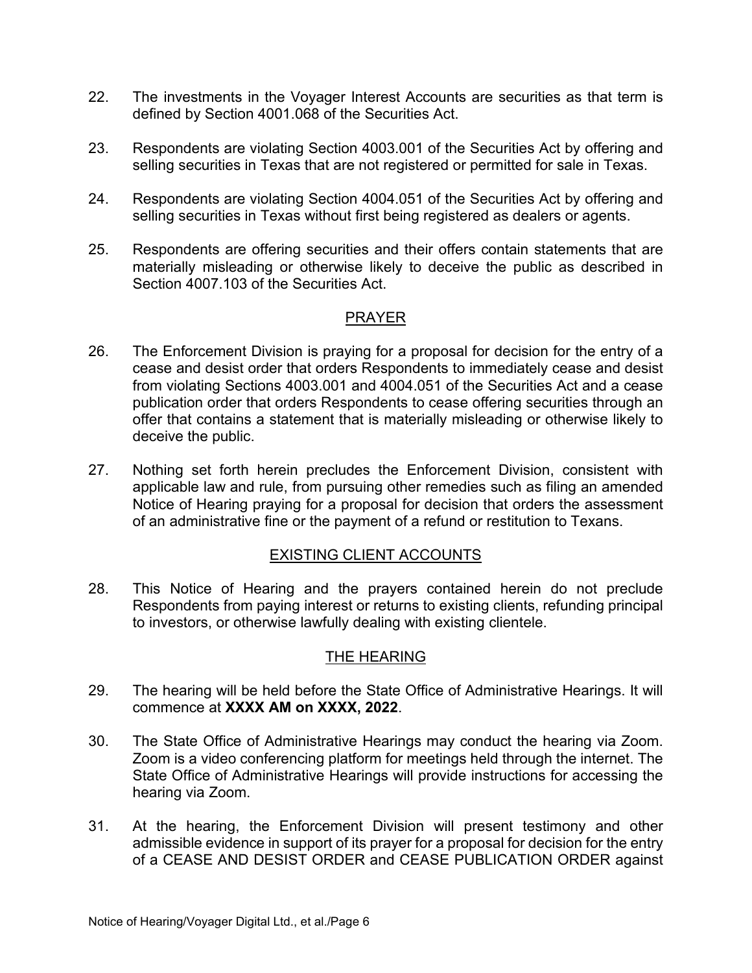- 22. The investments in the Voyager Interest Accounts are securities as that term is defined by Section 4001.068 of the Securities Act.
- 23. Respondents are violating Section 4003.001 of the Securities Act by offering and selling securities in Texas that are not registered or permitted for sale in Texas.
- 24. Respondents are violating Section 4004.051 of the Securities Act by offering and selling securities in Texas without first being registered as dealers or agents.
- 25. Respondents are offering securities and their offers contain statements that are materially misleading or otherwise likely to deceive the public as described in Section 4007.103 of the Securities Act.

#### PRAYER

- 26. The Enforcement Division is praying for a proposal for decision for the entry of a cease and desist order that orders Respondents to immediately cease and desist from violating Sections 4003.001 and 4004.051 of the Securities Act and a cease publication order that orders Respondents to cease offering securities through an offer that contains a statement that is materially misleading or otherwise likely to deceive the public.
- 27. Nothing set forth herein precludes the Enforcement Division, consistent with applicable law and rule, from pursuing other remedies such as filing an amended Notice of Hearing praying for a proposal for decision that orders the assessment of an administrative fine or the payment of a refund or restitution to Texans.

#### EXISTING CLIENT ACCOUNTS

28. This Notice of Hearing and the prayers contained herein do not preclude Respondents from paying interest or returns to existing clients, refunding principal to investors, or otherwise lawfully dealing with existing clientele.

#### THE HEARING

- 29. The hearing will be held before the State Office of Administrative Hearings. It will commence at **XXXX AM on XXXX, 2022**.
- 30. The State Office of Administrative Hearings may conduct the hearing via Zoom. Zoom is a video conferencing platform for meetings held through the internet. The State Office of Administrative Hearings will provide instructions for accessing the hearing via Zoom.
- 31. At the hearing, the Enforcement Division will present testimony and other admissible evidence in support of its prayer for a proposal for decision for the entry of a CEASE AND DESIST ORDER and CEASE PUBLICATION ORDER against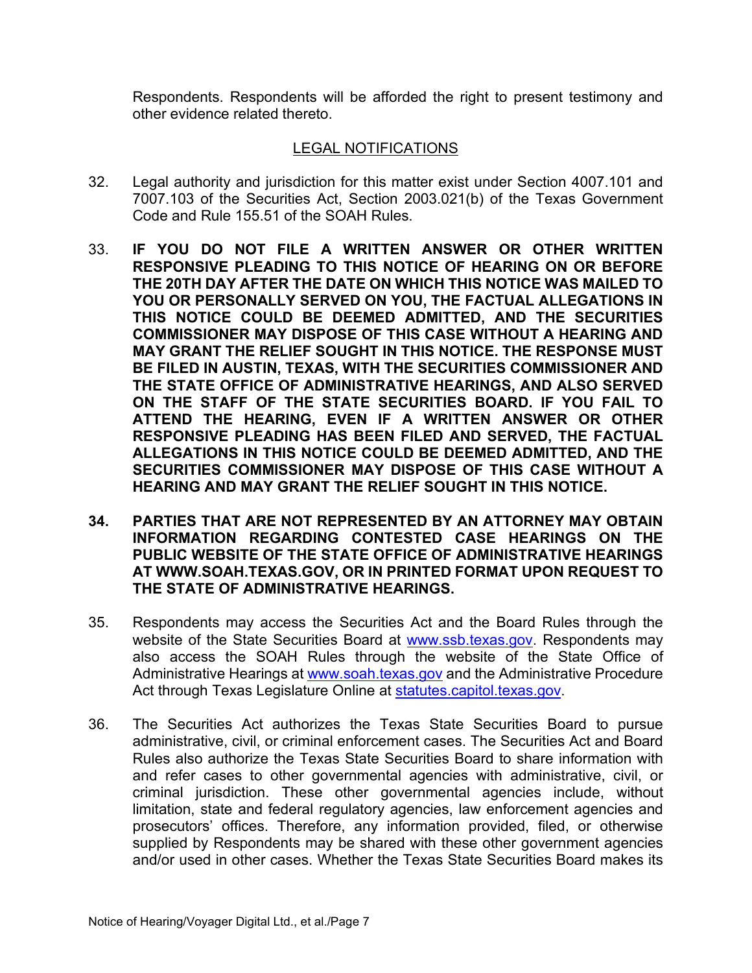Respondents. Respondents will be afforded the right to present testimony and other evidence related thereto.

## LEGAL NOTIFICATIONS

- 32. Legal authority and jurisdiction for this matter exist under Section 4007.101 and 7007.103 of the Securities Act, Section 2003.021(b) of the Texas Government Code and Rule 155.51 of the SOAH Rules.
- 33. **IF YOU DO NOT FILE A WRITTEN ANSWER OR OTHER WRITTEN RESPONSIVE PLEADING TO THIS NOTICE OF HEARING ON OR BEFORE THE 20TH DAY AFTER THE DATE ON WHICH THIS NOTICE WAS MAILED TO YOU OR PERSONALLY SERVED ON YOU, THE FACTUAL ALLEGATIONS IN THIS NOTICE COULD BE DEEMED ADMITTED, AND THE SECURITIES COMMISSIONER MAY DISPOSE OF THIS CASE WITHOUT A HEARING AND MAY GRANT THE RELIEF SOUGHT IN THIS NOTICE. THE RESPONSE MUST BE FILED IN AUSTIN, TEXAS, WITH THE SECURITIES COMMISSIONER AND THE STATE OFFICE OF ADMINISTRATIVE HEARINGS, AND ALSO SERVED ON THE STAFF OF THE STATE SECURITIES BOARD. IF YOU FAIL TO ATTEND THE HEARING, EVEN IF A WRITTEN ANSWER OR OTHER RESPONSIVE PLEADING HAS BEEN FILED AND SERVED, THE FACTUAL ALLEGATIONS IN THIS NOTICE COULD BE DEEMED ADMITTED, AND THE SECURITIES COMMISSIONER MAY DISPOSE OF THIS CASE WITHOUT A HEARING AND MAY GRANT THE RELIEF SOUGHT IN THIS NOTICE.**
- **34. PARTIES THAT ARE NOT REPRESENTED BY AN ATTORNEY MAY OBTAIN INFORMATION REGARDING CONTESTED CASE HEARINGS ON THE PUBLIC WEBSITE OF THE STATE OFFICE OF ADMINISTRATIVE HEARINGS AT WWW.SOAH.TEXAS.GOV, OR IN PRINTED FORMAT UPON REQUEST TO THE STATE OF ADMINISTRATIVE HEARINGS.**
- 35. Respondents may access the Securities Act and the Board Rules through the website of the State Securities Board at [www.ssb.texas.gov.](http://www.ssb.texas.gov/) Respondents may also access the SOAH Rules through the website of the State Office of Administrative Hearings at [www.soah.texas.gov](http://www.soah.texas.gov/) and the Administrative Procedure Act through Texas Legislature Online at [statutes.capitol.texas.gov.](https://statutes.capitol.texas.gov/)
- 36. The Securities Act authorizes the Texas State Securities Board to pursue administrative, civil, or criminal enforcement cases. The Securities Act and Board Rules also authorize the Texas State Securities Board to share information with and refer cases to other governmental agencies with administrative, civil, or criminal jurisdiction. These other governmental agencies include, without limitation, state and federal regulatory agencies, law enforcement agencies and prosecutors' offices. Therefore, any information provided, filed, or otherwise supplied by Respondents may be shared with these other government agencies and/or used in other cases. Whether the Texas State Securities Board makes its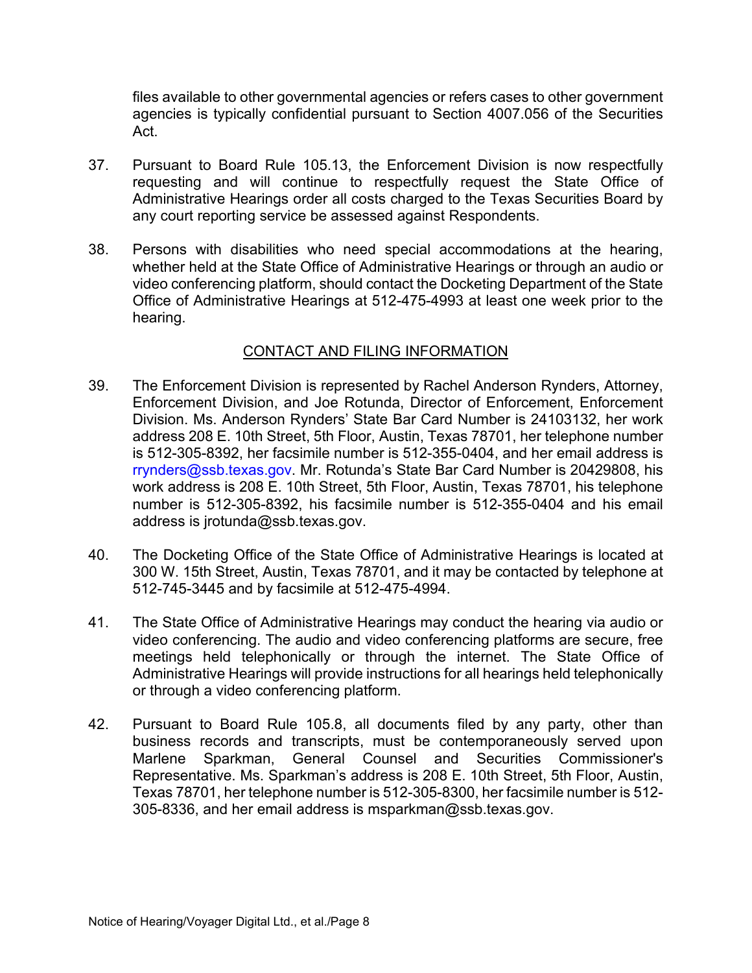files available to other governmental agencies or refers cases to other government agencies is typically confidential pursuant to Section 4007.056 of the Securities Act.

- 37. Pursuant to Board Rule 105.13, the Enforcement Division is now respectfully requesting and will continue to respectfully request the State Office of Administrative Hearings order all costs charged to the Texas Securities Board by any court reporting service be assessed against Respondents.
- 38. Persons with disabilities who need special accommodations at the hearing, whether held at the State Office of Administrative Hearings or through an audio or video conferencing platform, should contact the Docketing Department of the State Office of Administrative Hearings at 512-475-4993 at least one week prior to the hearing.

#### CONTACT AND FILING INFORMATION

- 39. The Enforcement Division is represented by Rachel Anderson Rynders, Attorney, Enforcement Division, and Joe Rotunda, Director of Enforcement, Enforcement Division. Ms. Anderson Rynders' State Bar Card Number is 24103132, her work address 208 E. 10th Street, 5th Floor, Austin, Texas 78701, her telephone number is 512-305-8392, her facsimile number is 512-355-0404, and her email address is rrynders@ssb.texas.gov. Mr. Rotunda's State Bar Card Number is 20429808, his work address is 208 E. 10th Street, 5th Floor, Austin, Texas 78701, his telephone number is 512-305-8392, his facsimile number is 512-355-0404 and his email address is jrotunda@ssb.texas.gov.
- 40. The Docketing Office of the State Office of Administrative Hearings is located at 300 W. 15th Street, Austin, Texas 78701, and it may be contacted by telephone at 512-745-3445 and by facsimile at 512-475-4994.
- 41. The State Office of Administrative Hearings may conduct the hearing via audio or video conferencing. The audio and video conferencing platforms are secure, free meetings held telephonically or through the internet. The State Office of Administrative Hearings will provide instructions for all hearings held telephonically or through a video conferencing platform.
- 42. Pursuant to Board Rule 105.8, all documents filed by any party, other than business records and transcripts, must be contemporaneously served upon Marlene Sparkman, General Counsel and Securities Commissioner's Representative. Ms. Sparkman's address is 208 E. 10th Street, 5th Floor, Austin, Texas 78701, her telephone number is 512-305-8300, her facsimile number is 512- 305-8336, and her email address is msparkman@ssb.texas.gov.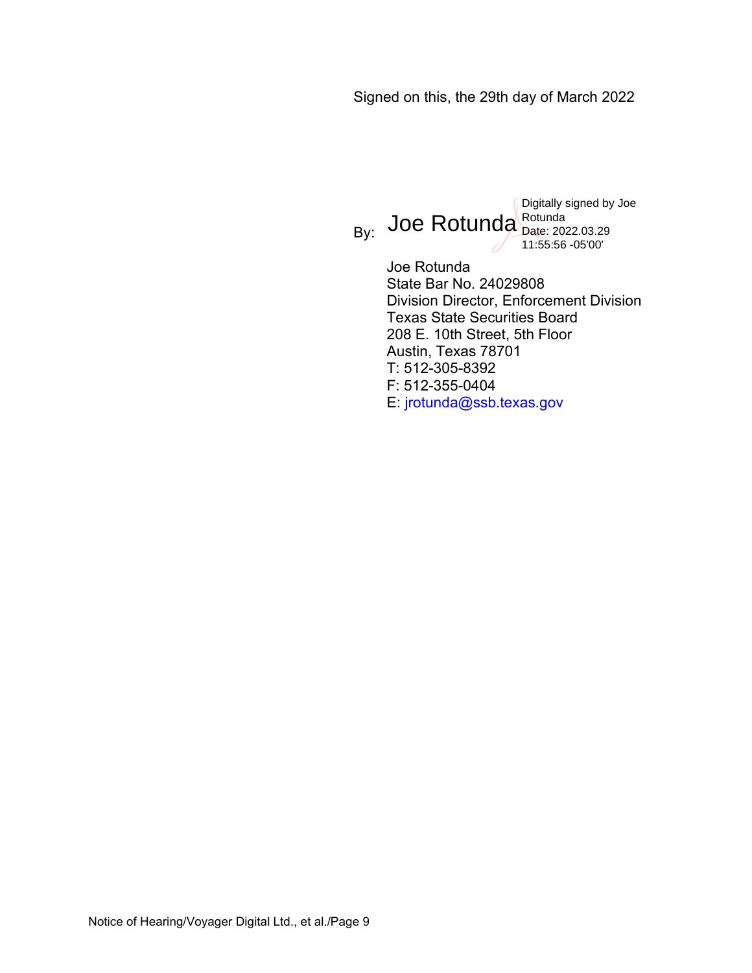# Signed on this, the 29th day of March 2022

<sub>By:</sub> Joe Rotunda Bate: 202 Digitally signed by Joe Date: 2022.03.29 11:55:56 -05'00'

> Joe Rotunda State Bar No. 24029808 Division Director, Enforcement Division Texas State Securities Board 208 E. 10th Street, 5th Floor Austin, Texas 78701 T: 512-305-8392 F: 512-355-0404 E: jrotunda@ssb.texas.gov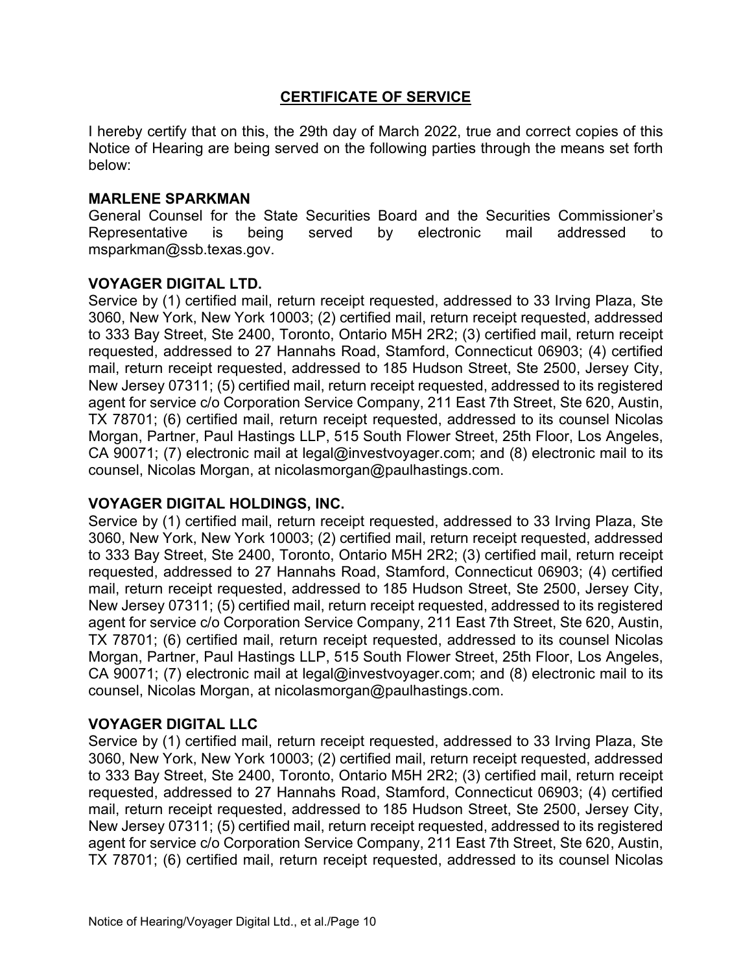#### **CERTIFICATE OF SERVICE**

I hereby certify that on this, the 29th day of March 2022, true and correct copies of this Notice of Hearing are being served on the following parties through the means set forth below:

#### **MARLENE SPARKMAN**

General Counsel for the State Securities Board and the Securities Commissioner's Representative is being served by electronic mail addressed to msparkman@ssb.texas.gov.

## **VOYAGER DIGITAL LTD.**

Service by (1) certified mail, return receipt requested, addressed to 33 Irving Plaza, Ste 3060, New York, New York 10003; (2) certified mail, return receipt requested, addressed to 333 Bay Street, Ste 2400, Toronto, Ontario M5H 2R2; (3) certified mail, return receipt requested, addressed to 27 Hannahs Road, Stamford, Connecticut 06903; (4) certified mail, return receipt requested, addressed to 185 Hudson Street, Ste 2500, Jersey City, New Jersey 07311; (5) certified mail, return receipt requested, addressed to its registered agent for service c/o Corporation Service Company, 211 East 7th Street, Ste 620, Austin, TX 78701; (6) certified mail, return receipt requested, addressed to its counsel Nicolas Morgan, Partner, Paul Hastings LLP, 515 South Flower Street, 25th Floor, Los Angeles, CA 90071; (7) electronic mail at legal@investvoyager.com; and (8) electronic mail to its counsel, Nicolas Morgan, at nicolasmorgan@paulhastings.com.

#### **VOYAGER DIGITAL HOLDINGS, INC.**

Service by (1) certified mail, return receipt requested, addressed to 33 Irving Plaza, Ste 3060, New York, New York 10003; (2) certified mail, return receipt requested, addressed to 333 Bay Street, Ste 2400, Toronto, Ontario M5H 2R2; (3) certified mail, return receipt requested, addressed to 27 Hannahs Road, Stamford, Connecticut 06903; (4) certified mail, return receipt requested, addressed to 185 Hudson Street, Ste 2500, Jersey City, New Jersey 07311; (5) certified mail, return receipt requested, addressed to its registered agent for service c/o Corporation Service Company, 211 East 7th Street, Ste 620, Austin, TX 78701; (6) certified mail, return receipt requested, addressed to its counsel Nicolas Morgan, Partner, Paul Hastings LLP, 515 South Flower Street, 25th Floor, Los Angeles, CA 90071; (7) electronic mail at legal@investvoyager.com; and (8) electronic mail to its counsel, Nicolas Morgan, at nicolasmorgan@paulhastings.com.

# **VOYAGER DIGITAL LLC**

Service by (1) certified mail, return receipt requested, addressed to 33 Irving Plaza, Ste 3060, New York, New York 10003; (2) certified mail, return receipt requested, addressed to 333 Bay Street, Ste 2400, Toronto, Ontario M5H 2R2; (3) certified mail, return receipt requested, addressed to 27 Hannahs Road, Stamford, Connecticut 06903; (4) certified mail, return receipt requested, addressed to 185 Hudson Street, Ste 2500, Jersey City, New Jersey 07311; (5) certified mail, return receipt requested, addressed to its registered agent for service c/o Corporation Service Company, 211 East 7th Street, Ste 620, Austin, TX 78701; (6) certified mail, return receipt requested, addressed to its counsel Nicolas